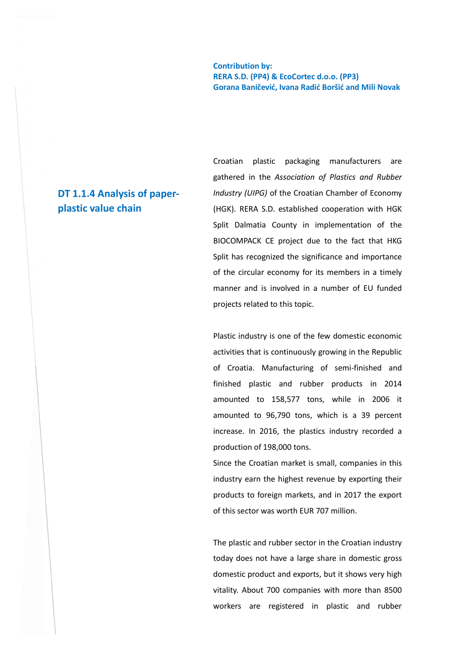**Contribution by: RERA S.D. (PP4) & EcoCortec d.o.o. (PP3) Gorana Baničević, Ivana Radić Boršić and Mili Novak** 

# **DT 1.1.4 Analysis of paperplastic value chain**

Croatian plastic packaging manufacturers are gathered in the *Association of Plastics and Rubber Industry (UIPG)* of the Croatian Chamber of Economy (HGK). RERA S.D. established cooperation with HGK Split Dalmatia County in implementation of the BIOCOMPACK CE project due to the fact that HKG Split has recognized the significance and importance of the circular economy for its members in a timely manner and is involved in a number of EU funded projects related to this topic.

Plastic industry is one of the few domestic economic activities that is continuously growing in the Republic of Croatia. Manufacturing of semi-finished and finished plastic and rubber products in 2014 amounted to 158,577 tons, while in 2006 it amounted to 96,790 tons, which is a 39 percent increase. In 2016, the plastics industry recorded a production of 198,000 tons.

Since the Croatian market is small, companies in this industry earn the highest revenue by exporting their products to foreign markets, and in 2017 the export of this sector was worth EUR 707 million.

The plastic and rubber sector in the Croatian industry today does not have a large share in domestic gross domestic product and exports, but it shows very high vitality. About 700 companies with more than 8500 workers are registered in plastic and rubber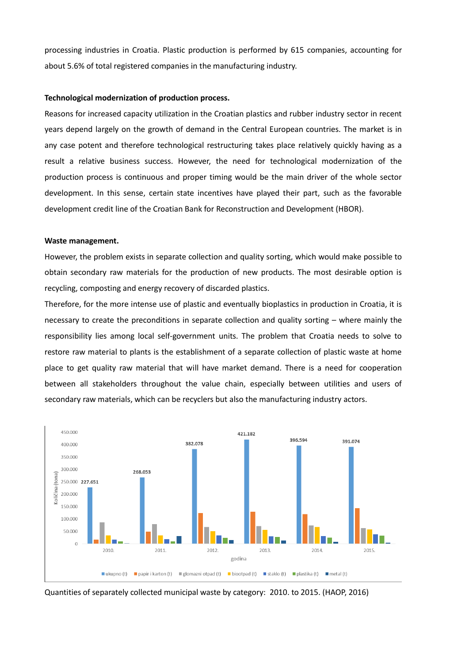processing industries in Croatia. Plastic production is performed by 615 companies, accounting for about 5.6% of total registered companies in the manufacturing industry.

#### **Technological modernization of production process.**

Reasons for increased capacity utilization in the Croatian plastics and rubber industry sector in recent years depend largely on the growth of demand in the Central European countries. The market is in any case potent and therefore technological restructuring takes place relatively quickly having as a result a relative business success. However, the need for technological modernization of the production process is continuous and proper timing would be the main driver of the whole sector development. In this sense, certain state incentives have played their part, such as the favorable development credit line of the Croatian Bank for Reconstruction and Development (HBOR).

#### **Waste management.**

However, the problem exists in separate collection and quality sorting, which would make possible to obtain secondary raw materials for the production of new products. The most desirable option is recycling, composting and energy recovery of discarded plastics.

Therefore, for the more intense use of plastic and eventually bioplastics in production in Croatia, it is necessary to create the preconditions in separate collection and quality sorting – where mainly the responsibility lies among local self-government units. The problem that Croatia needs to solve to restore raw material to plants is the establishment of a separate collection of plastic waste at home place to get quality raw material that will have market demand. There is a need for cooperation between all stakeholders throughout the value chain, especially between utilities and users of secondary raw materials, which can be recyclers but also the manufacturing industry actors.



Quantities of separately collected municipal waste by category: 2010. to 2015. (HAOP, 2016)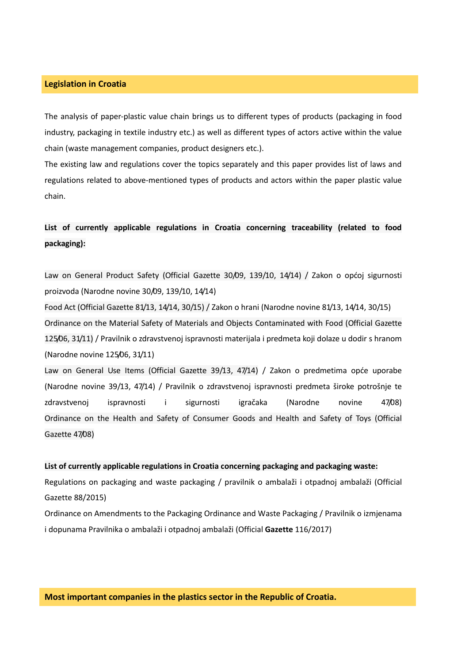### **Legislation in Croatia**

The analysis of paper-plastic value chain brings us to different types of products (packaging in food industry, packaging in textile industry etc.) as well as different types of actors active within the value chain (waste management companies, product designers etc.).

The existing law and regulations cover the topics separately and this paper provides list of laws and regulations related to above-mentioned types of products and actors within the paper plastic value chain.

# **List of currently applicable regulations in Croatia concerning traceability (related to food packaging):**

Law on General Product Safety (Official Gazette 30/09, 139/10, 14/14) / Zakon o općoj sigurnosti proizvoda (Narodne novine 30/09, 139/10, 14/14)

Food Act (Official Gazette 81/13, 14/14, 30/15) / Zakon o hrani (Narodne novine 81/13, 14/14, 30/15) Ordinance on the Material Safety of Materials and Objects Contaminated with Food (Official Gazette 125/06, 31/11) / Pravilnik o zdravstvenoj ispravnosti materijala i predmeta koji dolaze u dodir s hranom (Narodne novine 125/06, 31/11)

Law on General Use Items (Official Gazette 39/13, 47/14) / Zakon o predmetima opće uporabe (Narodne novine 39/13, 47/14) / Pravilnik o zdravstvenoj ispravnosti predmeta široke potrošnje te zdravstvenoj ispravnosti i sigurnosti igračaka (Narodne novine 47/08) Ordinance on the Health and Safety of Consumer Goods and Health and Safety of Toys (Official Gazette 47/08)

#### **List of currently applicable regulations in Croatia concerning packaging and packaging waste:**

Regulations on packaging and waste packaging / pravilnik o ambalaži i otpadnoj ambalaži (Official Gazette 88/2015)

Ordinance on Amendments to the Packaging Ordinance and Waste Packaging / Pravilnik o izmjenama i dopunama Pravilnika o ambalaži i otpadnoj ambalaži (Official **Gazette** 116/2017)

### **Most important companies in the plastics sector in the Republic of Croatia.**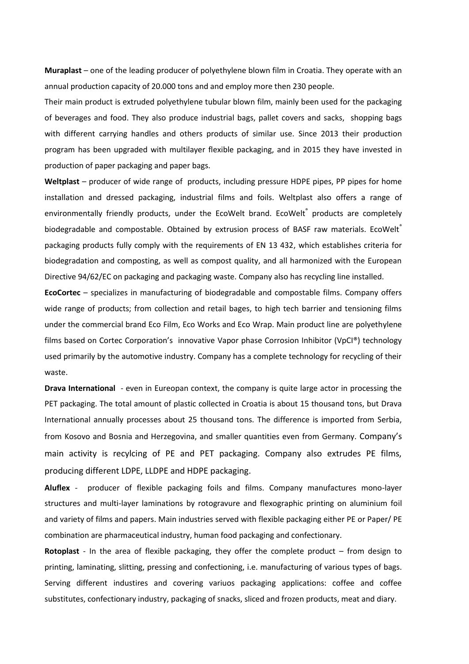**Muraplast** – one of the leading producer of polyethylene blown film in Croatia. They operate with an annual production capacity of 20.000 tons and and employ more then 230 people.

Their main product is extruded polyethylene tubular blown film, mainly been used for the packaging of beverages and food. They also produce industrial bags, pallet covers and sacks, shopping bags with different carrying handles and others products of similar use. Since 2013 their production program has been upgraded with multilayer flexible packaging, and in 2015 they have invested in production of paper packaging and paper bags.

**Weltplast** – producer of wide range of products, including pressure HDPE pipes, PP pipes for home installation and dressed packaging, industrial films and foils. Weltplast also offers a range of environmentally friendly products, under the EcoWelt brand. EcoWelt® products are completely biodegradable and compostable. Obtained by extrusion process of BASF raw materials. EcoWelt® packaging products fully comply with the requirements of EN 13 432, which establishes criteria for biodegradation and composting, as well as compost quality, and all harmonized with the European Directive 94/62/EC on packaging and packaging waste. Company also has recycling line installed.

**EcoCortec** – specializes in manufacturing of biodegradable and compostable films. Company offers wide range of products; from collection and retail bages, to high tech barrier and tensioning films under the commercial brand Eco Film, Eco Works and Eco Wrap. Main product line are polyethylene films based on Cortec Corporation's innovative Vapor phase Corrosion Inhibitor (VpCI®) technology used primarily by the automotive industry. Company has a complete technology for recycling of their waste.

**Drava International** - even in Eureopan context, the company is quite large actor in processing the PET packaging. The total amount of plastic collected in Croatia is about 15 thousand tons, but Drava International annually processes about 25 thousand tons. The difference is imported from Serbia, from Kosovo and Bosnia and Herzegovina, and smaller quantities even from Germany. Company's main activity is recylcing of PE and PET packaging. Company also extrudes PE films, producing different LDPE, LLDPE and HDPE packaging.

**Aluflex** - producer of flexible packaging foils and films. Company manufactures mono-layer structures and multi-layer laminations by rotogravure and flexographic printing on aluminium foil and variety of films and papers. Main industries served with flexible packaging either PE or Paper/ PE combination are pharmaceutical industry, human food packaging and confectionary.

**Rotoplast** - In the area of flexible packaging, they offer the complete product – from design to printing, laminating, slitting, pressing and confectioning, i.e. manufacturing of various types of bags. Serving different industires and covering variuos packaging applications: coffee and coffee substitutes, confectionary industry, packaging of snacks, sliced and frozen products, meat and diary.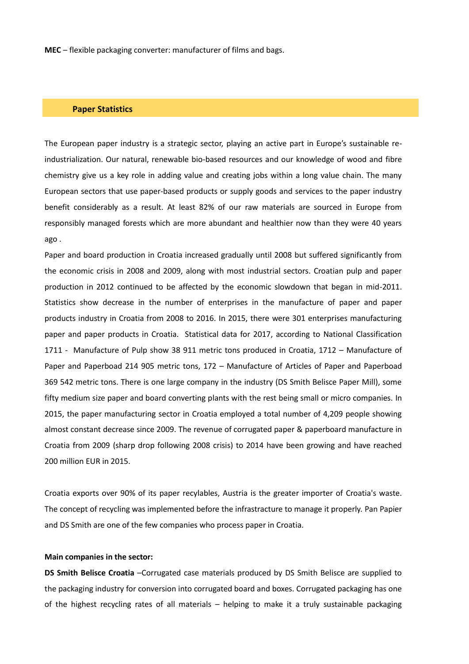**MEC** – flexible packaging converter: manufacturer of films and bags.

#### **Paper Statistics**

The European paper industry is a strategic sector, playing an active part in Europe's sustainable reindustrialization. Our natural, renewable bio-based resources and our knowledge of wood and fibre chemistry give us a key role in adding value and creating jobs within a long value chain. The many European sectors that use paper-based products or supply goods and services to the paper industry benefit considerably as a result. At least 82% of our raw materials are sourced in Europe from responsibly managed forests which are more abundant and healthier now than they were 40 years ago .

Paper and board production in Croatia increased gradually until 2008 but suffered significantly from the economic crisis in 2008 and 2009, along with most industrial sectors. Croatian pulp and paper production in 2012 continued to be affected by the economic slowdown that began in mid-2011. Statistics show decrease in the number of enterprises in the manufacture of paper and paper products industry in Croatia from 2008 to 2016. In 2015, there were 301 enterprises manufacturing paper and paper products in Croatia. Statistical data for 2017, according to National Classification 1711 - Manufacture of Pulp show 38 911 metric tons produced in Croatia, 1712 – Manufacture of Paper and Paperboad 214 905 metric tons, 172 – Manufacture of Articles of Paper and Paperboad 369 542 metric tons. There is one large company in the industry (DS Smith Belisce Paper Mill), some fifty medium size paper and board converting plants with the rest being small or micro companies. In 2015, the paper manufacturing sector in Croatia employed a total number of 4,209 people showing almost constant decrease since 2009. The revenue of corrugated paper & paperboard manufacture in Croatia from 2009 (sharp drop following 2008 crisis) to 2014 have been growing and have reached 200 million EUR in 2015.

Croatia exports over 90% of its paper recylables, Austria is the greater importer of Croatia's waste. The concept of recycling was implemented before the infrastracture to manage it properly. Pan Papier and DS Smith are one of the few companies who process paper in Croatia.

#### **Main companies in the sector:**

**DS Smith Belisce Croatia** –Corrugated case materials produced by DS Smith Belisce are supplied to the packaging industry for conversion into corrugated board and boxes. Corrugated packaging has one of the highest recycling rates of all materials – helping to make it a truly sustainable packaging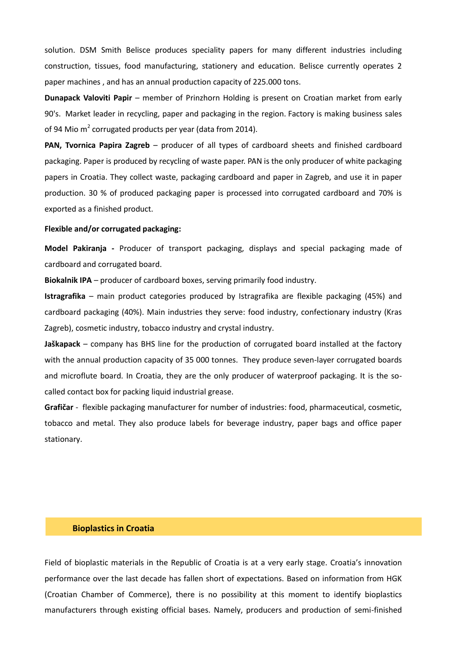solution. DSM Smith Belisce produces speciality papers for many different industries including construction, tissues, food manufacturing, stationery and education. Belisce currently operates 2 paper machines , and has an annual production capacity of 225.000 tons.

**Dunapack Valoviti Papir** – member of Prinzhorn Holding is present on Croatian market from early 90's. Market leader in recycling, paper and packaging in the region. Factory is making business sales of 94 Mio m<sup>2</sup> corrugated products per year (data from 2014).

**PAN, Tvornica Papira Zagreb** – producer of all types of cardboard sheets and finished cardboard packaging. Paper is produced by recycling of waste paper. PAN is the only producer of white packaging papers in Croatia. They collect waste, packaging cardboard and paper in Zagreb, and use it in paper production. 30 % of produced packaging paper is processed into corrugated cardboard and 70% is exported as a finished product.

### **Flexible and/or corrugated packaging:**

**Model Pakiranja -** Producer of transport packaging, displays and special packaging made of cardboard and corrugated board.

**Biokalnik IPA** – producer of cardboard boxes, serving primarily food industry.

**Istragrafika** – main product categories produced by Istragrafika are flexible packaging (45%) and cardboard packaging (40%). Main industries they serve: food industry, confectionary industry (Kras Zagreb), cosmetic industry, tobacco industry and crystal industry.

**Jaškapack** – company has BHS line for the production of corrugated board installed at the factory with the annual production capacity of 35 000 tonnes. They produce seven-layer corrugated boards and microflute board. In Croatia, they are the only producer of waterproof packaging. It is the socalled contact box for packing liquid industrial grease.

**Grafičar** - flexible packaging manufacturer for number of industries: food, pharmaceutical, cosmetic, tobacco and metal. They also produce labels for beverage industry, paper bags and office paper stationary.

#### **Bioplastics in Croatia**

Field of bioplastic materials in the Republic of Croatia is at a very early stage. Croatia's innovation performance over the last decade has fallen short of expectations. Based on information from HGK (Croatian Chamber of Commerce), there is no possibility at this moment to identify bioplastics manufacturers through existing official bases. Namely, producers and production of semi-finished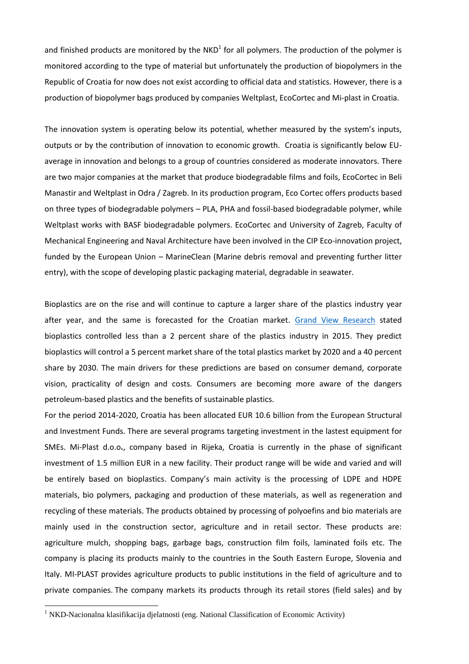and finished products are monitored by the NKD<sup>1</sup> for all polymers. The production of the polymer is monitored according to the type of material but unfortunately the production of biopolymers in the Republic of Croatia for now does not exist according to official data and statistics. However, there is a production of biopolymer bags produced by companies Weltplast, EcoCortec and Mi-plast in Croatia.

The innovation system is operating below its potential, whether measured by the system's inputs, outputs or by the contribution of innovation to economic growth. Croatia is significantly below EUaverage in innovation and belongs to a group of countries considered as moderate innovators. There are two major companies at the market that produce biodegradable films and foils, EcoCortec in Beli Manastir and Weltplast in Odra / Zagreb. In its production program, Eco Cortec offers products based on three types of biodegradable polymers – PLA, PHA and fossil-based biodegradable polymer, while Weltplast works with BASF biodegradable polymers. EcoCortec and University of Zagreb, Faculty of Mechanical Engineering and Naval Architecture have been involved in the CIP Eco-innovation project, funded by the European Union – MarineClean (Marine debris removal and preventing further litter entry), with the scope of developing plastic packaging material, degradable in seawater.

Bioplastics are on the rise and will continue to capture a larger share of the plastics industry year after year, and the same is forecasted for the Croatian market. [Grand View Research](http://energyandgold.com/2016/03/10/an-enormous-investment-opportunity-in-a-rapidly-growing-space/) stated bioplastics controlled less than a 2 percent share of the plastics industry in 2015. They predict bioplastics will control a 5 percent market share of the total plastics market by 2020 and a 40 percent share by 2030. The main drivers for these predictions are based on consumer demand, corporate vision, practicality of design and costs. Consumers are becoming more aware of the dangers petroleum-based plastics and the benefits of sustainable plastics.

For the period 2014-2020, Croatia has been allocated EUR 10.6 billion from the European Structural and Investment Funds. There are several programs targeting investment in the lastest equipment for SMEs. Mi-Plast d.o.o**.**, company based in Rijeka, Croatia is currently in the phase of significant investment of 1.5 million EUR in a new facility. Their product range will be wide and varied and will be entirely based on bioplastics. Company's main activity is the processing of LDPE and HDPE materials, bio polymers, packaging and production of these materials, as well as regeneration and recycling of these materials. The products obtained by processing of polyoefins and bio materials are mainly used in the construction sector, agriculture and in retail sector. These products are: agriculture mulch, shopping bags, garbage bags, construction film foils, laminated foils etc. The company is placing its products mainly to the countries in the South Eastern Europe, Slovenia and Italy. MI-PLAST provides agriculture products to public institutions in the field of agriculture and to private companies. The company markets its products through its retail stores (field sales) and by

1

<sup>&</sup>lt;sup>1</sup> NKD-Nacionalna klasifikacija djelatnosti (eng. National Classification of Economic Activity)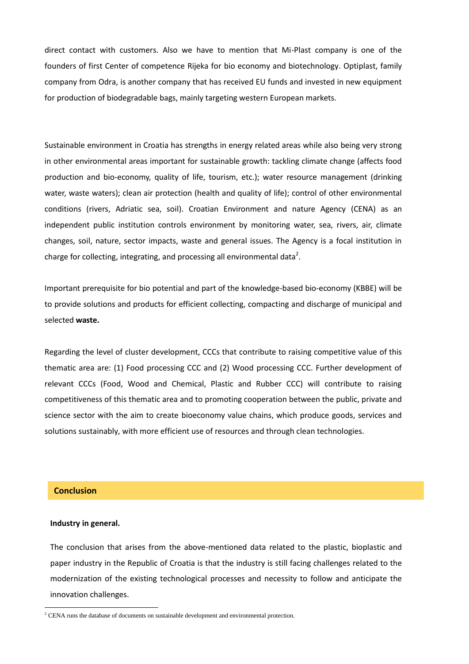direct contact with customers. Also we have to mention that Mi-Plast company is one of the founders of first Center of competence Rijeka for bio economy and biotechnology. Optiplast, family company from Odra, is another company that has received EU funds and invested in new equipment for production of biodegradable bags, mainly targeting western European markets.

Sustainable environment in Croatia has strengths in energy related areas while also being very strong in other environmental areas important for sustainable growth: tackling climate change (affects food production and bio-economy, quality of life, tourism, etc.); water resource management (drinking water, waste waters); clean air protection (health and quality of life); control of other environmental conditions (rivers, Adriatic sea, soil). Croatian Environment and nature Agency (CENA) as an independent public institution controls environment by monitoring water, sea, rivers, air, climate changes, soil, nature, sector impacts, waste and general issues. The Agency is a focal institution in charge for collecting, integrating, and processing all environmental data<sup>2</sup>.

Important prerequisite for bio potential and part of the knowledge-based bio-economy (KBBE) will be to provide solutions and products for efficient collecting, compacting and discharge of municipal and selected **waste.** 

Regarding the level of cluster development, CCCs that contribute to raising competitive value of this thematic area are: (1) Food processing CCC and (2) Wood processing CCC. Further development of relevant CCCs (Food, Wood and Chemical, Plastic and Rubber CCC) will contribute to raising competitiveness of this thematic area and to promoting cooperation between the public, private and science sector with the aim to create bioeconomy value chains, which produce goods, services and solutions sustainably, with more efficient use of resources and through clean technologies.

## **Conclusion**

1

### **Industry in general.**

The conclusion that arises from the above-mentioned data related to the plastic, bioplastic and paper industry in the Republic of Croatia is that the industry is still facing challenges related to the modernization of the existing technological processes and necessity to follow and anticipate the innovation challenges.

<sup>&</sup>lt;sup>2</sup> CENA runs the database of documents on sustainable development and environmental protection.